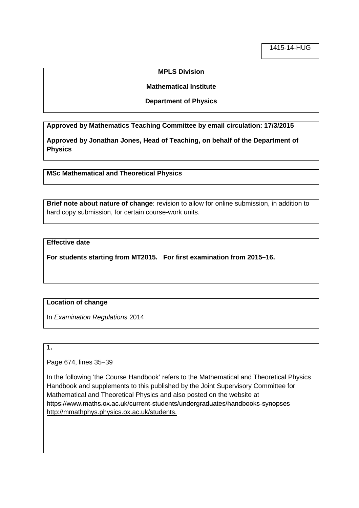### **MPLS Division**

### **Mathematical Institute**

### **Department of Physics**

**Approved by Mathematics Teaching Committee by email circulation: 17/3/2015**

**Approved by Jonathan Jones, Head of Teaching, on behalf of the Department of Physics**

**MSc Mathematical and Theoretical Physics**

**Brief note about nature of change**: revision to allow for online submission, in addition to hard copy submission, for certain course-work units.

## **Effective date**

**For students starting from MT2015. For first examination from 2015–16.**

## **Location of change**

In *Examination Regulations* 2014

## **1.**

Page 674, lines 35–39

In the following 'the Course Handbook' refers to the Mathematical and Theoretical Physics Handbook and supplements to this published by the Joint Supervisory Committee for Mathematical and Theoretical Physics and also posted on the website at https://www.maths.ox.ac.uk/current-students/undergraduates/handbooks-synopses http://mmathphys.physics.ox.ac.uk/students.